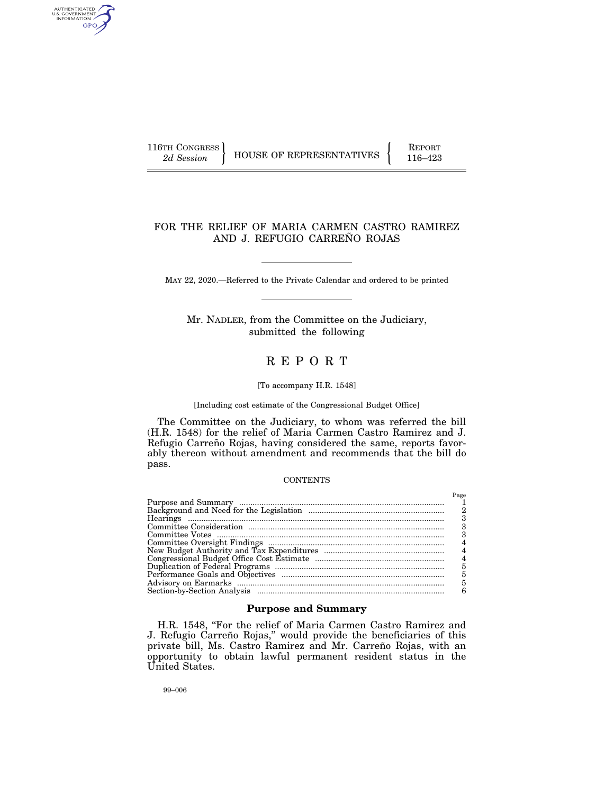AUTHENTICATED<br>U.S. GOVERNMENT<br>INFORMATION GPO

116TH CONGRESS HOUSE OF REPRESENTATIVES FEPORT 116–423

# FOR THE RELIEF OF MARIA CARMEN CASTRO RAMIREZ AND J. REFUGIO CARREÑO ROJAS

MAY 22, 2020.—Referred to the Private Calendar and ordered to be printed

Mr. NADLER, from the Committee on the Judiciary, submitted the following

# R E P O R T

# [To accompany H.R. 1548]

#### [Including cost estimate of the Congressional Budget Office]

The Committee on the Judiciary, to whom was referred the bill (H.R. 1548) for the relief of Maria Carmen Castro Ramirez and J. Refugio Carreño Rojas, having considered the same, reports favorably thereon without amendment and recommends that the bill do pass.

#### **CONTENTS**

# **Purpose and Summary**

H.R. 1548, "For the relief of Maria Carmen Castro Ramirez and J. Refugio Carreño Rojas," would provide the beneficiaries of this private bill, Ms. Castro Ramirez and Mr. Carreño Rojas, with an opportunity to obtain lawful permanent resident status in the United States.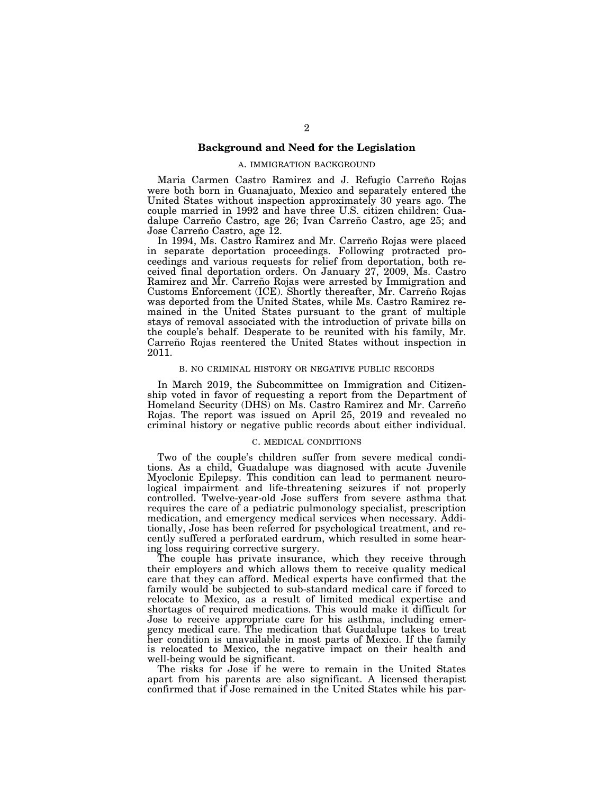# **Background and Need for the Legislation**

# A. IMMIGRATION BACKGROUND

Maria Carmen Castro Ramirez and J. Refugio Carreño Rojas were both born in Guanajuato, Mexico and separately entered the United States without inspection approximately 30 years ago. The couple married in 1992 and have three U.S. citizen children: Guadalupe Carreño Castro, age 26; Ivan Carreño Castro, age 25; and Jose Carreño Castro, age 12.

In 1994, Ms. Castro Ramirez and Mr. Carreño Rojas were placed in separate deportation proceedings. Following protracted proceedings and various requests for relief from deportation, both received final deportation orders. On January 27, 2009, Ms. Castro Ramirez and Mr. Carreño Rojas were arrested by Immigration and Customs Enforcement (ICE). Shortly thereafter, Mr. Carreño Rojas was deported from the United States, while Ms. Castro Ramirez remained in the United States pursuant to the grant of multiple stays of removal associated with the introduction of private bills on the couple's behalf. Desperate to be reunited with his family, Mr. Carreño Rojas reentered the United States without inspection in 2011.

# B. NO CRIMINAL HISTORY OR NEGATIVE PUBLIC RECORDS

In March 2019, the Subcommittee on Immigration and Citizenship voted in favor of requesting a report from the Department of Homeland Security (DHS) on Ms. Castro Ramirez and Mr. Carreño Rojas. The report was issued on April 25, 2019 and revealed no criminal history or negative public records about either individual.

# C. MEDICAL CONDITIONS

Two of the couple's children suffer from severe medical conditions. As a child, Guadalupe was diagnosed with acute Juvenile Myoclonic Epilepsy. This condition can lead to permanent neurological impairment and life-threatening seizures if not properly controlled. Twelve-year-old Jose suffers from severe asthma that requires the care of a pediatric pulmonology specialist, prescription medication, and emergency medical services when necessary. Additionally, Jose has been referred for psychological treatment, and recently suffered a perforated eardrum, which resulted in some hearing loss requiring corrective surgery.

The couple has private insurance, which they receive through their employers and which allows them to receive quality medical care that they can afford. Medical experts have confirmed that the family would be subjected to sub-standard medical care if forced to relocate to Mexico, as a result of limited medical expertise and shortages of required medications. This would make it difficult for Jose to receive appropriate care for his asthma, including emergency medical care. The medication that Guadalupe takes to treat her condition is unavailable in most parts of Mexico. If the family is relocated to Mexico, the negative impact on their health and well-being would be significant.

The risks for Jose if he were to remain in the United States apart from his parents are also significant. A licensed therapist confirmed that if Jose remained in the United States while his par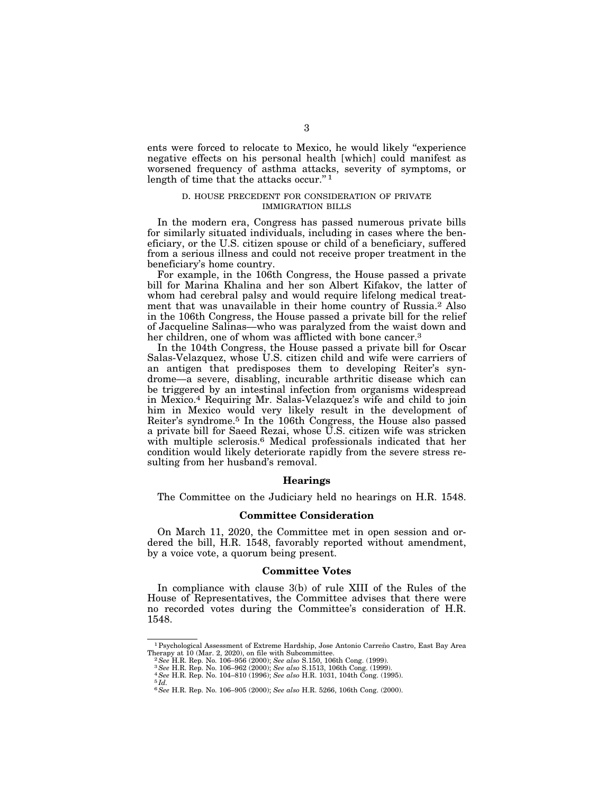ents were forced to relocate to Mexico, he would likely ''experience negative effects on his personal health [which] could manifest as worsened frequency of asthma attacks, severity of symptoms, or length of time that the attacks occur."<sup>1</sup>

## D. HOUSE PRECEDENT FOR CONSIDERATION OF PRIVATE IMMIGRATION BILLS

In the modern era, Congress has passed numerous private bills for similarly situated individuals, including in cases where the beneficiary, or the U.S. citizen spouse or child of a beneficiary, suffered from a serious illness and could not receive proper treatment in the beneficiary's home country.

For example, in the 106th Congress, the House passed a private bill for Marina Khalina and her son Albert Kifakov, the latter of whom had cerebral palsy and would require lifelong medical treatment that was unavailable in their home country of Russia.2 Also in the 106th Congress, the House passed a private bill for the relief of Jacqueline Salinas—who was paralyzed from the waist down and her children, one of whom was afflicted with bone cancer.<sup>3</sup>

In the 104th Congress, the House passed a private bill for Oscar Salas-Velazquez, whose U.S. citizen child and wife were carriers of an antigen that predisposes them to developing Reiter's syndrome—a severe, disabling, incurable arthritic disease which can be triggered by an intestinal infection from organisms widespread in Mexico.4 Requiring Mr. Salas-Velazquez's wife and child to join him in Mexico would very likely result in the development of Reiter's syndrome.5 In the 106th Congress, the House also passed a private bill for Saeed Rezai, whose U.S. citizen wife was stricken with multiple sclerosis.6 Medical professionals indicated that her condition would likely deteriorate rapidly from the severe stress resulting from her husband's removal.

#### **Hearings**

The Committee on the Judiciary held no hearings on H.R. 1548.

#### **Committee Consideration**

On March 11, 2020, the Committee met in open session and ordered the bill, H.R. 1548, favorably reported without amendment, by a voice vote, a quorum being present.

## **Committee Votes**

In compliance with clause 3(b) of rule XIII of the Rules of the House of Representatives, the Committee advises that there were no recorded votes during the Committee's consideration of H.R. 1548.

 $1$ Psychological Assessment of Extreme Hardship, Jose Antonio Carreño Castro, East Bay Area Therapy at 10 (Mar. 2, 2020), on file with Subcommittee.

<sup>&</sup>lt;sup>2</sup>See H.R. Rep. No. 106–956 (2000); See also S.150, 106th Cong. (1999).<br><sup>3</sup>See H.R. Rep. No. 106–962 (2000); See also S.1513, 106th Cong. (1999).<br><sup>4</sup>See H.R. Rep. No. 104–810 (1996); See also H.R. 1031, 104th Cong. (1995

<sup>6</sup>*See* H.R. Rep. No. 106–905 (2000); *See also* H.R. 5266, 106th Cong. (2000).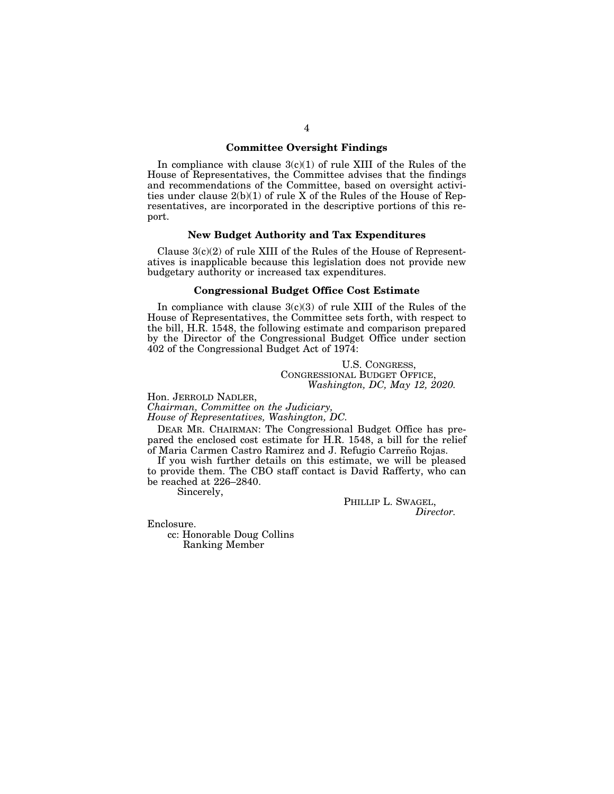# **Committee Oversight Findings**

In compliance with clause  $3(c)(1)$  of rule XIII of the Rules of the House of Representatives, the Committee advises that the findings and recommendations of the Committee, based on oversight activities under clause 2(b)(1) of rule X of the Rules of the House of Representatives, are incorporated in the descriptive portions of this report.

#### **New Budget Authority and Tax Expenditures**

Clause  $3(c)(2)$  of rule XIII of the Rules of the House of Representatives is inapplicable because this legislation does not provide new budgetary authority or increased tax expenditures.

# **Congressional Budget Office Cost Estimate**

In compliance with clause  $3(c)(3)$  of rule XIII of the Rules of the House of Representatives, the Committee sets forth, with respect to the bill, H.R. 1548, the following estimate and comparison prepared by the Director of the Congressional Budget Office under section 402 of the Congressional Budget Act of 1974:

# U.S. CONGRESS, CONGRESSIONAL BUDGET OFFICE, *Washington, DC, May 12, 2020.*

Hon. JERROLD NADLER,

*Chairman, Committee on the Judiciary, House of Representatives, Washington, DC.* 

DEAR MR. CHAIRMAN: The Congressional Budget Office has prepared the enclosed cost estimate for H.R. 1548, a bill for the relief of Maria Carmen Castro Ramirez and J. Refugio Carreño Rojas.

If you wish further details on this estimate, we will be pleased to provide them. The CBO staff contact is David Rafferty, who can be reached at 226–2840.

Sincerely,

PHILLIP L. SWAGEL,<br>*Director*.

Enclosure.

cc: Honorable Doug Collins Ranking Member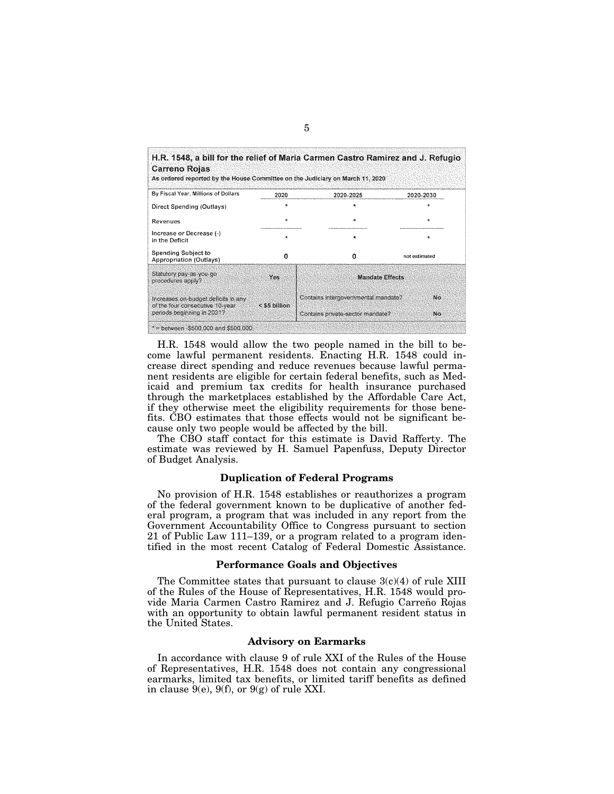| <b>Carreno Rojas</b><br>As ordered reported by the House Committee on the Judiciary on March 11, 2020 |               |                                     |               |  |
|-------------------------------------------------------------------------------------------------------|---------------|-------------------------------------|---------------|--|
| By Fiscal Year, Millions of Dollars                                                                   | 2020          | 2020-2025                           | 2020-2030     |  |
| Direct Spending (Outlays)                                                                             |               |                                     |               |  |
| Revenues                                                                                              | $\star$       | $\star$                             | $\star$       |  |
| Increase or Decrease (-)<br>in the Deficit                                                            | $\star$       | ÷                                   | $\star$       |  |
| Spending Subject to<br>Appropriation (Outlays)                                                        | n             | Ω                                   | not estimated |  |
| Statutory pay-as-you-go<br>procedures apply?                                                          | Yes           | <b>Mandate Effects</b>              |               |  |
| Increases on-budget deficits in any<br>of the four consecutive 10-year.<br>periods beginning in 2031? | < \$5 billion | Contains intergovernmental mandate? | No            |  |
|                                                                                                       |               | Contains private-sector mandate?    | No.           |  |

H.R. 1548 would allow the two people named in the bill to become lawful permanent residents. Enacting H.R. 1548 could increase direct spending and reduce revenues because lawful permanent residents are eligible for certain federal benefits, such as Medicaid and premium tax credits for health insurance purchased through the marketplaces established by the Affordable Care Act, if they otherwise meet the eligibility requirements for those benefits. CBO estimates that those effects would not be significant because only two people would be affected by the bill.

The CBO staff contact for this estimate is David Rafferty. The estimate was reviewed by H. Samuel Papenfuss, Deputy Director of Budget Analysis.

# **Duplication of Federal Programs**

No provision of H.R. 1548 establishes or reauthorizes a program of the federal government known to be duplicative of another federal program, a program that was included in any report from the Government Accountability Office to Congress pursuant to section 21 of Public Law 111–139, or a program related to a program identified in the most recent Catalog of Federal Domestic Assistance.

# **Performance Goals and Objectives**

The Committee states that pursuant to clause  $3(c)(4)$  of rule XIII of the Rules of the House of Representatives, H.R. 1548 would provide Maria Carmen Castro Ramirez and J. Refugio Carreño Rojas with an opportunity to obtain lawful permanent resident status in the United States.

# **Advisory on Earmarks**

In accordance with clause 9 of rule XXI of the Rules of the House of Representatives, H.R. 1548 does not contain any congressional earmarks, limited tax benefits, or limited tariff benefits as defined in clause  $9(e)$ ,  $9(f)$ , or  $9(g)$  of rule XXI.